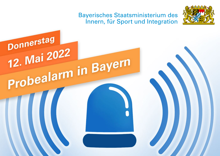## **Bayerisches Staatsministerium des** Innern, für Sport und Integration